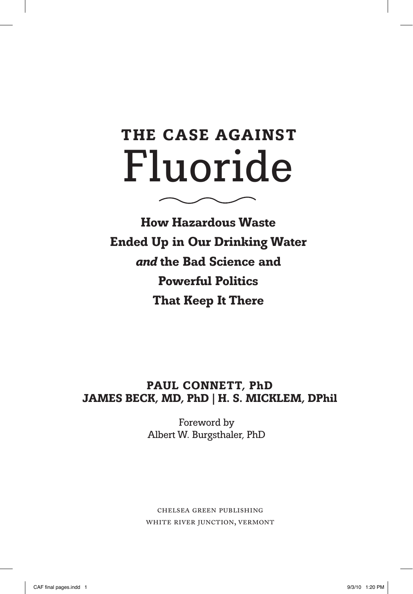# THE CASE AGAINST Fluoride

How Hazardous Waste Ended Up in Our Drinking Water *and* the Bad Science and Powerful Politics That Keep It There

# PAUL CONNETT, PhD JAMES BECK, MD, PhD | H. S. MICKLEM, DPhil

Foreword by Albert W. Burgsthaler, PhD

chelsea green publishing white river junction, vermont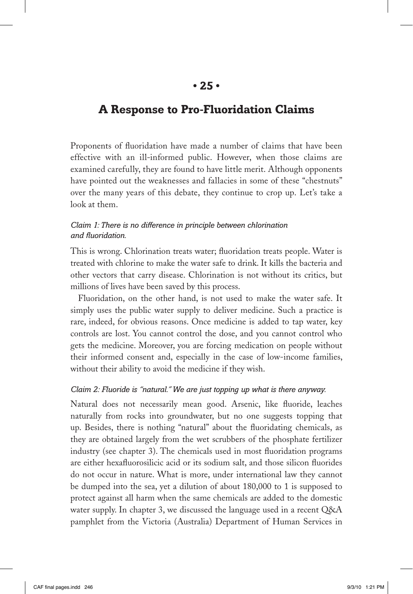# A Response to Pro-Fluoridation Claims

Proponents of fluoridation have made a number of claims that have been effective with an ill-informed public. However, when those claims are examined carefully, they are found to have little merit. Although opponents have pointed out the weaknesses and fallacies in some of these "chestnuts" over the many years of this debate, they continue to crop up. Let's take a look at them.

## *Claim 1: There is no difference in principle between chlorination and fluoridation.*

This is wrong. Chlorination treats water; fluoridation treats people. Water is treated with chlorine to make the water safe to drink. It kills the bacteria and other vectors that carry disease. Chlorination is not without its critics, but millions of lives have been saved by this process.

Fluoridation, on the other hand, is not used to make the water safe. It simply uses the public water supply to deliver medicine. Such a practice is rare, indeed, for obvious reasons. Once medicine is added to tap water, key controls are lost. You cannot control the dose, and you cannot control who gets the medicine. Moreover, you are forcing medication on people without their informed consent and, especially in the case of low-income families, without their ability to avoid the medicine if they wish.

#### *Claim 2: Fluoride is "natural." We are just topping up what is there anyway.*

Natural does not necessarily mean good. Arsenic, like fluoride, leaches naturally from rocks into groundwater, but no one suggests topping that up. Besides, there is nothing "natural" about the fluoridating chemicals, as they are obtained largely from the wet scrubbers of the phosphate fertilizer industry (see chapter 3). The chemicals used in most fluoridation programs are either hexafluorosilicic acid or its sodium salt, and those silicon fluorides do not occur in nature. What is more, under international law they cannot be dumped into the sea, yet a dilution of about 180,000 to 1 is supposed to protect against all harm when the same chemicals are added to the domestic water supply. In chapter 3, we discussed the language used in a recent Q&A pamphlet from the Victoria (Australia) Department of Human Services in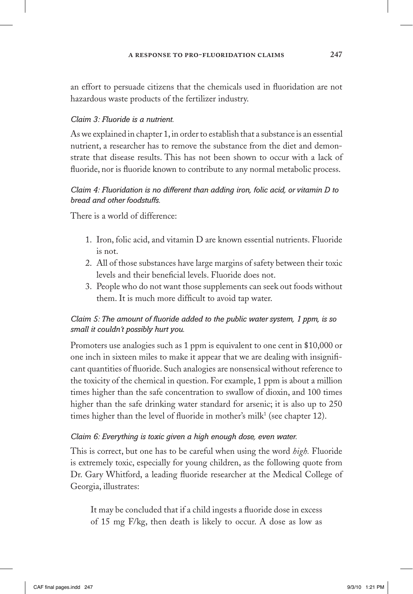an effort to persuade citizens that the chemicals used in fluoridation are not hazardous waste products of the fertilizer industry.

## *Claim 3: Fluoride is a nutrient.*

As we explained in chapter 1, in order to establish that a substance is an essential nutrient, a researcher has to remove the substance from the diet and demonstrate that disease results. This has not been shown to occur with a lack of fluoride, nor is fluoride known to contribute to any normal metabolic process.

# *Claim 4: Fluoridation is no different than adding iron, folic acid, or vitamin D to bread and other foodstuffs.*

There is a world of difference:

- 1. Iron, folic acid, and vitamin D are known essential nutrients. Fluoride is not.
- 2. All of those substances have large margins of safety between their toxic levels and their beneficial levels. Fluoride does not.
- 3. People who do not want those supplements can seek out foods without them. It is much more difficult to avoid tap water.

# *Claim 5: The amount of fluoride added to the public water system, 1 ppm, is so small it couldn't possibly hurt you.*

Promoters use analogies such as 1 ppm is equivalent to one cent in \$10,000 or one inch in sixteen miles to make it appear that we are dealing with insignificant quantities of fluoride. Such analogies are nonsensical without reference to the toxicity of the chemical in question. For example, 1 ppm is about a million times higher than the safe concentration to swallow of dioxin, and 100 times higher than the safe drinking water standard for arsenic; it is also up to 250 times higher than the level of fluoride in mother's milk<sup>1</sup> (see chapter 12).

### *Claim 6: Everything is toxic given a high enough dose, even water.*

This is correct, but one has to be careful when using the word *high.* Fluoride is extremely toxic, especially for young children, as the following quote from Dr. Gary Whitford, a leading fluoride researcher at the Medical College of Georgia, illustrates:

It may be concluded that if a child ingests a fluoride dose in excess of 15 mg F/kg, then death is likely to occur. A dose as low as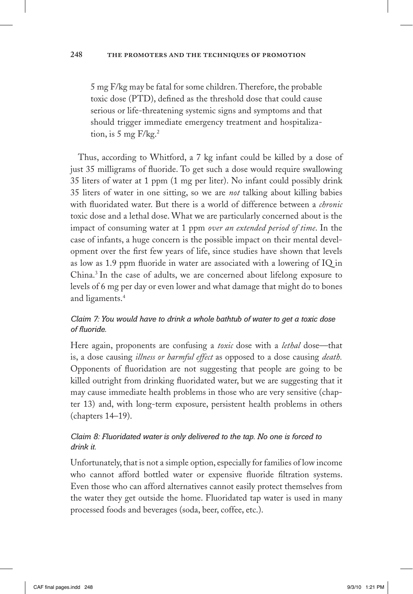5 mg F/kg may be fatal for some children.Therefore, the probable toxic dose (PTD), defined as the threshold dose that could cause serious or life-threatening systemic signs and symptoms and that should trigger immediate emergency treatment and hospitalization, is  $5 \text{ mg } F/kg$ .

Thus, according to Whitford, a 7 kg infant could be killed by a dose of just 35 milligrams of fluoride. To get such a dose would require swallowing 35 liters of water at 1 ppm (1 mg per liter). No infant could possibly drink 35 liters of water in one sitting, so we are *not* talking about killing babies with fluoridated water. But there is a world of difference between a *chronic* toxic dose and a lethal dose. What we are particularly concerned about is the impact of consuming water at 1 ppm *over an extended period of time*. In the case of infants, a huge concern is the possible impact on their mental development over the first few years of life, since studies have shown that levels as low as 1.9 ppm fluoride in water are associated with a lowering of IQ in China.3 In the case of adults, we are concerned about lifelong exposure to levels of 6 mg per day or even lower and what damage that might do to bones and ligaments.4

# *Claim 7: You would have to drink a whole bathtub of water to get a toxic dose of fluoride.*

Here again, proponents are confusing a *toxic* dose with a *lethal* dose—that is, a dose causing *illness or harmful effect* as opposed to a dose causing *death.* Opponents of fluoridation are not suggesting that people are going to be killed outright from drinking fluoridated water, but we are suggesting that it may cause immediate health problems in those who are very sensitive (chapter 13) and, with long-term exposure, persistent health problems in others (chapters 14–19).

# *Claim 8: Fluoridated water is only delivered to the tap. No one is forced to drink it.*

Unfortunately, that is not a simple option, especially for families of low income who cannot afford bottled water or expensive fluoride filtration systems. Even those who can afford alternatives cannot easily protect themselves from the water they get outside the home. Fluoridated tap water is used in many processed foods and beverages (soda, beer, coffee, etc.).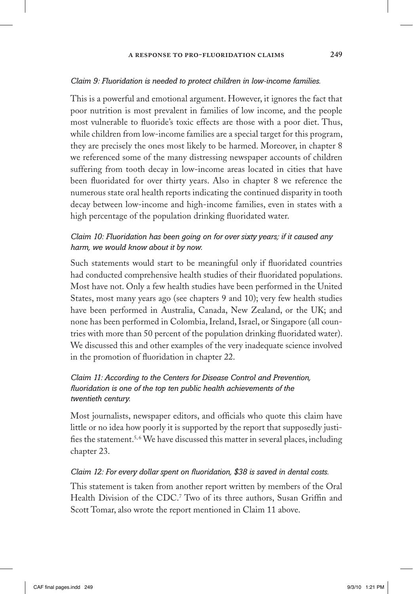#### **a response to pro-fluoridation claims 249**

#### *Claim 9: Fluoridation is needed to protect children in low-income families.*

This is a powerful and emotional argument. However, it ignores the fact that poor nutrition is most prevalent in families of low income, and the people most vulnerable to fluoride's toxic effects are those with a poor diet. Thus, while children from low-income families are a special target for this program, they are precisely the ones most likely to be harmed. Moreover, in chapter 8 we referenced some of the many distressing newspaper accounts of children suffering from tooth decay in low-income areas located in cities that have been fluoridated for over thirty years. Also in chapter 8 we reference the numerous state oral health reports indicating the continued disparity in tooth decay between low-income and high-income families, even in states with a high percentage of the population drinking fluoridated water.

# *Claim 10: Fluoridation has been going on for over sixty years; if it caused any harm, we would know about it by now.*

Such statements would start to be meaningful only if fluoridated countries had conducted comprehensive health studies of their fluoridated populations. Most have not. Only a few health studies have been performed in the United States, most many years ago (see chapters 9 and 10); very few health studies have been performed in Australia, Canada, New Zealand, or the UK; and none has been performed in Colombia, Ireland, Israel, or Singapore (all countries with more than 50 percent of the population drinking fluoridated water). We discussed this and other examples of the very inadequate science involved in the promotion of fluoridation in chapter 22.

# *Claim 11: According to the Centers for Disease Control and Prevention, fluoridation is one of the top ten public health achievements of the twentieth century.*

Most journalists, newspaper editors, and officials who quote this claim have little or no idea how poorly it is supported by the report that supposedly justifies the statement.<sup>5,6</sup> We have discussed this matter in several places, including chapter 23.

#### *Claim 12: For every dollar spent on fluoridation, \$38 is saved in dental costs.*

This statement is taken from another report written by members of the Oral Health Division of the CDC.<sup>7</sup> Two of its three authors, Susan Griffin and Scott Tomar, also wrote the report mentioned in Claim 11 above.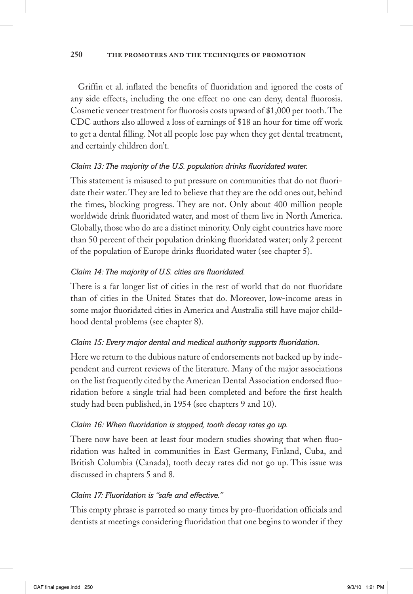Griffin et al. inflated the benefits of fluoridation and ignored the costs of any side effects, including the one effect no one can deny, dental fluorosis. Cosmetic veneer treatment for fluorosis costs upward of \$1,000 per tooth.The CDC authors also allowed a loss of earnings of \$18 an hour for time off work to get a dental filling. Not all people lose pay when they get dental treatment, and certainly children don't.

#### *Claim 13: The majority of the U.S. population drinks fluoridated water.*

This statement is misused to put pressure on communities that do not fluoridate their water.They are led to believe that they are the odd ones out, behind the times, blocking progress. They are not. Only about 400 million people worldwide drink fluoridated water, and most of them live in North America. Globally, those who do are a distinct minority. Only eight countries have more than 50 percent of their population drinking fluoridated water; only 2 percent of the population of Europe drinks fluoridated water (see chapter 5).

#### *Claim 14: The majority of U.S. cities are fluoridated.*

There is a far longer list of cities in the rest of world that do not fluoridate than of cities in the United States that do. Moreover, low-income areas in some major fluoridated cities in America and Australia still have major childhood dental problems (see chapter 8).

#### *Claim 15: Every major dental and medical authority supports fluoridation.*

Here we return to the dubious nature of endorsements not backed up by independent and current reviews of the literature. Many of the major associations on the list frequently cited by the American Dental Association endorsed fluoridation before a single trial had been completed and before the first health study had been published, in 1954 (see chapters 9 and 10).

#### *Claim 16: When fluoridation is stopped, tooth decay rates go up.*

There now have been at least four modern studies showing that when fluoridation was halted in communities in East Germany, Finland, Cuba, and British Columbia (Canada), tooth decay rates did not go up. This issue was discussed in chapters 5 and 8.

#### *Claim 17: Fluoridation is "safe and effective."*

This empty phrase is parroted so many times by pro-fluoridation officials and dentists at meetings considering fluoridation that one begins to wonder if they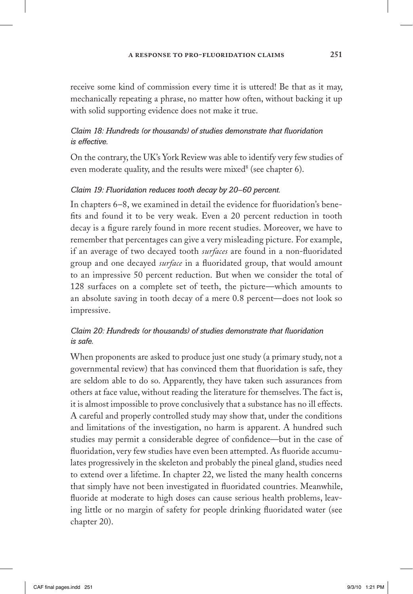receive some kind of commission every time it is uttered! Be that as it may, mechanically repeating a phrase, no matter how often, without backing it up with solid supporting evidence does not make it true.

# *Claim 18: Hundreds (or thousands) of studies demonstrate that fluoridation is effective.*

On the contrary, the UK's York Review was able to identify very few studies of even moderate quality, and the results were mixed<sup>8</sup> (see chapter 6).

### *Claim 19: Fluoridation reduces tooth decay by 20–60 percent.*

In chapters 6–8, we examined in detail the evidence for fluoridation's benefits and found it to be very weak. Even a 20 percent reduction in tooth decay is a figure rarely found in more recent studies. Moreover, we have to remember that percentages can give a very misleading picture. For example, if an average of two decayed tooth *surfaces* are found in a non-fluoridated group and one decayed *surface* in a fluoridated group, that would amount to an impressive 50 percent reduction. But when we consider the total of 128 surfaces on a complete set of teeth, the picture—which amounts to an absolute saving in tooth decay of a mere 0.8 percent—does not look so impressive.

# *Claim 20: Hundreds (or thousands) of studies demonstrate that fluoridation is safe.*

When proponents are asked to produce just one study (a primary study, not a governmental review) that has convinced them that fluoridation is safe, they are seldom able to do so. Apparently, they have taken such assurances from others at face value, without reading the literature for themselves. The fact is, it is almost impossible to prove conclusively that a substance has no ill effects. A careful and properly controlled study may show that, under the conditions and limitations of the investigation, no harm is apparent. A hundred such studies may permit a considerable degree of confidence—but in the case of fluoridation, very few studies have even been attempted. As fluoride accumulates progressively in the skeleton and probably the pineal gland, studies need to extend over a lifetime. In chapter 22, we listed the many health concerns that simply have not been investigated in fluoridated countries. Meanwhile, fluoride at moderate to high doses can cause serious health problems, leaving little or no margin of safety for people drinking fluoridated water (see chapter 20).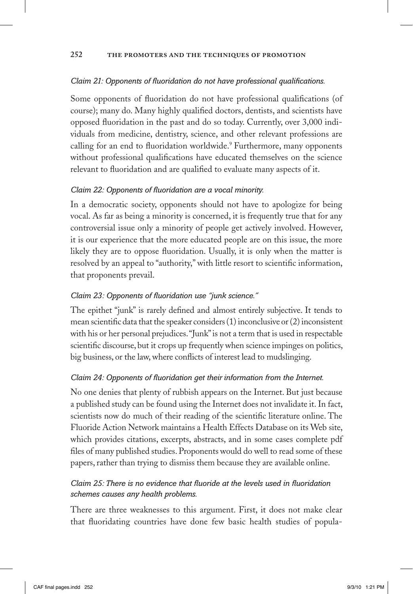#### *Claim 21: Opponents of fluoridation do not have professional qualifications.*

Some opponents of fluoridation do not have professional qualifications (of course); many do. Many highly qualified doctors, dentists, and scientists have opposed fluoridation in the past and do so today. Currently, over 3,000 individuals from medicine, dentistry, science, and other relevant professions are calling for an end to fluoridation worldwide.<sup>9</sup> Furthermore, many opponents without professional qualifications have educated themselves on the science relevant to fluoridation and are qualified to evaluate many aspects of it.

#### *Claim 22: Opponents of fluoridation are a vocal minority.*

In a democratic society, opponents should not have to apologize for being vocal. As far as being a minority is concerned, it is frequently true that for any controversial issue only a minority of people get actively involved. However, it is our experience that the more educated people are on this issue, the more likely they are to oppose fluoridation. Usually, it is only when the matter is resolved by an appeal to "authority," with little resort to scientific information, that proponents prevail.

#### *Claim 23: Opponents of fluoridation use "junk science."*

The epithet "junk" is rarely defined and almost entirely subjective. It tends to mean scientific data that the speaker considers  $(1)$  inconclusive or  $(2)$  inconsistent with his or her personal prejudices. "Junk" is not a term that is used in respectable scientific discourse, but it crops up frequently when science impinges on politics, big business, or the law, where conflicts of interest lead to mudslinging.

#### *Claim 24: Opponents of fluoridation get their information from the Internet.*

No one denies that plenty of rubbish appears on the Internet. But just because a published study can be found using the Internet does not invalidate it.In fact, scientists now do much of their reading of the scientific literature online. The Fluoride Action Network maintains a Health Effects Database on its Web site, which provides citations, excerpts, abstracts, and in some cases complete pdf files of many published studies. Proponents would do well to read some of these papers, rather than trying to dismiss them because they are available online.

# *Claim 25: There is no evidence that fluoride at the levels used in fluoridation schemes causes any health problems.*

There are three weaknesses to this argument. First, it does not make clear that fluoridating countries have done few basic health studies of popula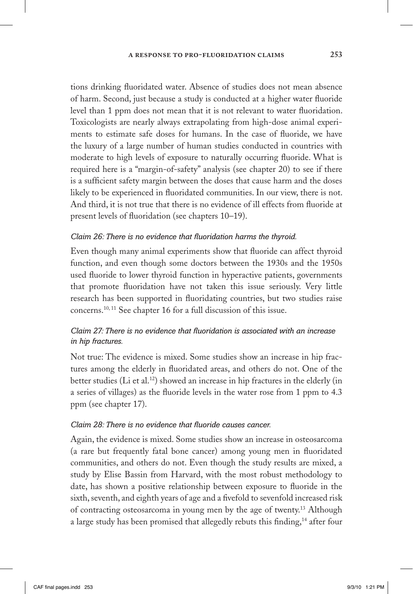tions drinking fluoridated water. Absence of studies does not mean absence of harm. Second, just because a study is conducted at a higher water fluoride level than 1 ppm does not mean that it is not relevant to water fluoridation. Toxicologists are nearly always extrapolating from high-dose animal experiments to estimate safe doses for humans. In the case of fluoride, we have the luxury of a large number of human studies conducted in countries with moderate to high levels of exposure to naturally occurring fluoride. What is required here is a "margin-of-safety" analysis (see chapter 20) to see if there is a sufficient safety margin between the doses that cause harm and the doses likely to be experienced in fluoridated communities. In our view, there is not. And third, it is not true that there is no evidence of ill effects from fluoride at present levels of fluoridation (see chapters 10–19).

#### *Claim 26: There is no evidence that fluoridation harms the thyroid.*

Even though many animal experiments show that fluoride can affect thyroid function, and even though some doctors between the 1930s and the 1950s used fluoride to lower thyroid function in hyperactive patients, governments that promote fluoridation have not taken this issue seriously. Very little research has been supported in fluoridating countries, but two studies raise concerns.10, <sup>11</sup> See chapter 16 for a full discussion of this issue.

# *Claim 27: There is no evidence that fluoridation is associated with an increase in hip fractures.*

Not true: The evidence is mixed. Some studies show an increase in hip fractures among the elderly in fluoridated areas, and others do not. One of the better studies (Li et al.<sup>12</sup>) showed an increase in hip fractures in the elderly (in a series of villages) as the fluoride levels in the water rose from 1 ppm to 4.3 ppm (see chapter 17).

#### *Claim 28: There is no evidence that fluoride causes cancer.*

Again, the evidence is mixed. Some studies show an increase in osteosarcoma (a rare but frequently fatal bone cancer) among young men in fluoridated communities, and others do not. Even though the study results are mixed, a study by Elise Bassin from Harvard, with the most robust methodology to date, has shown a positive relationship between exposure to fluoride in the sixth, seventh, and eighth years of age and a fivefold to sevenfold increased risk of contracting osteosarcoma in young men by the age of twenty.13 Although a large study has been promised that allegedly rebuts this finding,<sup>14</sup> after four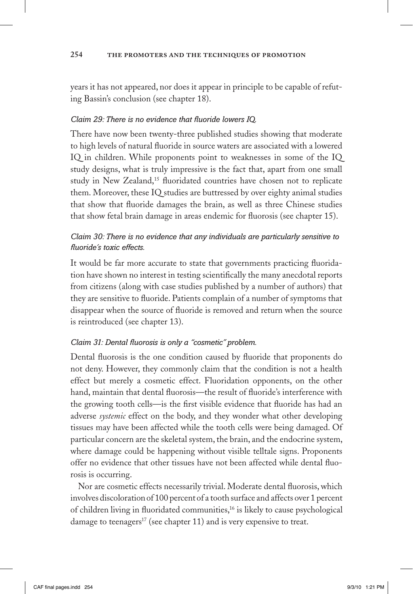years it has not appeared, nor does it appear in principle to be capable of refuting Bassin's conclusion (see chapter 18).

#### *Claim 29: There is no evidence that fluoride lowers IQ.*

There have now been twenty-three published studies showing that moderate to high levels of natural fluoride in source waters are associated with a lowered IQ in children. While proponents point to weaknesses in some of the IQ study designs, what is truly impressive is the fact that, apart from one small study in New Zealand,<sup>15</sup> fluoridated countries have chosen not to replicate them. Moreover, these IQ studies are buttressed by over eighty animal studies that show that fluoride damages the brain, as well as three Chinese studies that show fetal brain damage in areas endemic for fluorosis (see chapter 15).

# *Claim 30: There is no evidence that any individuals are particularly sensitive to fluoride's toxic effects.*

It would be far more accurate to state that governments practicing fluoridation have shown no interest in testing scientifically the many anecdotal reports from citizens (along with case studies published by a number of authors) that they are sensitive to fluoride. Patients complain of a number of symptoms that disappear when the source of fluoride is removed and return when the source is reintroduced (see chapter 13).

#### *Claim 31: Dental fluorosis is only a "cosmetic" problem.*

Dental fluorosis is the one condition caused by fluoride that proponents do not deny. However, they commonly claim that the condition is not a health effect but merely a cosmetic effect. Fluoridation opponents, on the other hand, maintain that dental fluorosis—the result of fluoride's interference with the growing tooth cells—is the first visible evidence that fluoride has had an adverse *systemic* effect on the body, and they wonder what other developing tissues may have been affected while the tooth cells were being damaged. Of particular concern are the skeletal system, the brain, and the endocrine system, where damage could be happening without visible telltale signs. Proponents offer no evidence that other tissues have not been affected while dental fluorosis is occurring.

Nor are cosmetic effects necessarily trivial. Moderate dental fluorosis,which involves discolorationof 100 percent of a tooth surface and affects over 1 percent of children living in fluoridated communities,<sup>16</sup> is likely to cause psychological damage to teenagers<sup>17</sup> (see chapter 11) and is very expensive to treat.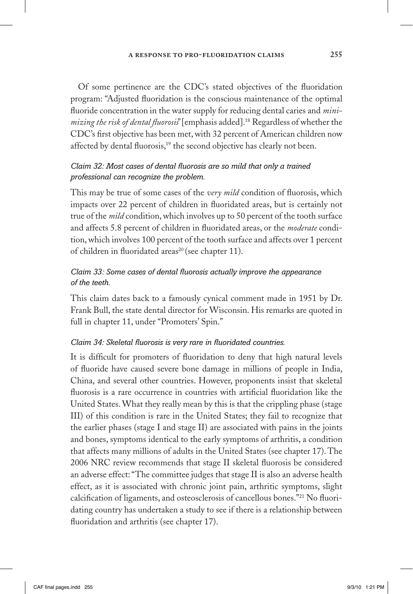Of some pertinence are the CDC's stated objectives of the fluoridation program: "Adjusted fluoridation is the conscious maintenance of the optimal fluoride concentration in the water supply for reducing dental caries and *minimizing the risk of dental fluorosis*"[emphasis added].18 Regardless of whether the CDC's first objective has been met,with 32 percent of American children now affected by dental fluorosis,<sup>19</sup> the second objective has clearly not been.

# *Claim 32: Most cases of dental fluorosis are so mild that only a trained professional can recognize the problem.*

This may be true of some cases of the *very mild* condition of fluorosis, which impacts over 22 percent of children in fluoridated areas, but is certainly not true of the *mild* condition,which involves up to 50 percent of the tooth surface and affects 5.8 percent of children in fluoridated areas, or the *moderate* condition,which involves 100 percent of the tooth surface and affects over 1 percent of children in fluoridated areas<sup>20</sup> (see chapter 11).

# *Claim 33: Some cases of dental fluorosis actually improve the appearance of the teeth.*

This claim dates back to a famously cynical comment made in 1951 by Dr. Frank Bull, the state dental director for Wisconsin. His remarks are quoted in full in chapter 11, under "Promoters' Spin."

# *Claim 34: Skeletal fluorosis is very rare in fluoridated countries.*

It is difficult for promoters of fluoridation to deny that high natural levels of fluoride have caused severe bone damage in millions of people in India, China, and several other countries. However, proponents insist that skeletal fluorosis is a rare occurrence in countries with artificial fluoridation like the United States.What they really mean by this is that the crippling phase (stage III) of this condition is rare in the United States; they fail to recognize that the earlier phases (stage I and stage II) are associated with pains in the joints and bones, symptoms identical to the early symptoms of arthritis, a condition that affects many millions of adults in the United States (see chapter 17). The 2006 NRC review recommends that stage II skeletal fluorosis be considered an adverse effect:"The committee judges that stage II is also an adverse health effect, as it is associated with chronic joint pain, arthritic symptoms, slight calcification of ligaments, and osteosclerosis of cancellous bones."21 No fluoridating country has undertaken a study to see if there is a relationship between fluoridation and arthritis (see chapter 17).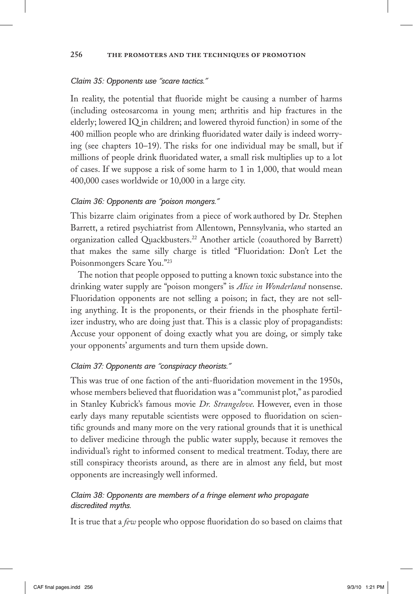#### *Claim 35: Opponents use "scare tactics."*

In reality, the potential that fluoride might be causing a number of harms (including osteosarcoma in young men; arthritis and hip fractures in the elderly; lowered IQ in children; and lowered thyroid function) in some of the 400 million people who are drinking fluoridated water daily is indeed worrying (see chapters 10–19). The risks for one individual may be small, but if millions of people drink fluoridated water, a small risk multiplies up to a lot of cases. If we suppose a risk of some harm to 1 in 1,000, that would mean 400,000 cases worldwide or 10,000 in a large city.

#### *Claim 36: Opponents are "poison mongers."*

This bizarre claim originates from a piece of work authored by Dr. Stephen Barrett, a retired psychiatrist from Allentown, Pennsylvania, who started an organization called Quackbusters.22 Another article (coauthored by Barrett) that makes the same silly charge is titled "Fluoridation: Don't Let the Poisonmongers Scare You."23

The notion that people opposed to putting a known toxic substance into the drinking water supply are "poison mongers" is *Alice in Wonderland* nonsense. Fluoridation opponents are not selling a poison; in fact, they are not selling anything. It is the proponents, or their friends in the phosphate fertilizer industry, who are doing just that. This is a classic ploy of propagandists: Accuse your opponent of doing exactly what you are doing, or simply take your opponents' arguments and turn them upside down.

#### *Claim 37: Opponents are "conspiracy theorists."*

This was true of one faction of the anti-fluoridation movement in the 1950s, whose members believed that fluoridation was a "communist plot," as parodied in Stanley Kubrick's famous movie *Dr. Strangelove*. However, even in those early days many reputable scientists were opposed to fluoridation on scientific grounds and many more on the very rational grounds that it is unethical to deliver medicine through the public water supply, because it removes the individual's right to informed consent to medical treatment. Today, there are still conspiracy theorists around, as there are in almost any field, but most opponents are increasingly well informed.

# *Claim 38: Opponents are members of a fringe element who propagate discredited myths.*

It is true that a *few* people who oppose fluoridation do so based on claims that